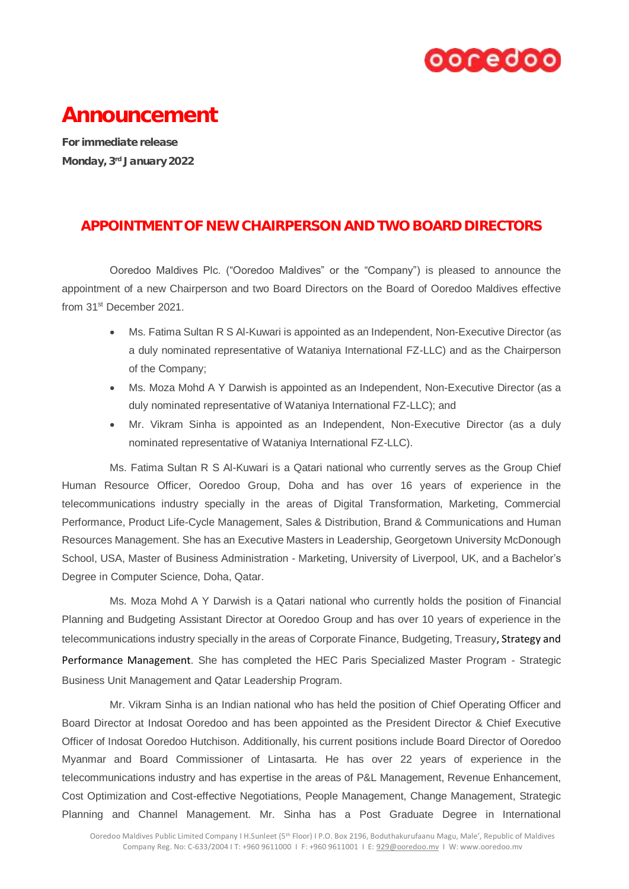

## Announcement

For immediate release Monday, 3rd January 2022

## APPOINTMENT OF NEW CHAIRPERSON AND TWO BOARD DIRECTORS

Ooredoo Maldives Plc. ("Ooredoo Maldives" or the "Company") is pleased to announce the appointment of a new Chairperson and two Board Directors on the Board of Ooredoo Maldives effective from 31st December 2021.

- Ms. Fatima Sultan R S Al-Kuwari is appointed as an Independent, Non-Executive Director (as a duly nominated representative of Wataniya International FZ-LLC) and as the Chairperson of the Company;
- Ms. Moza Mohd A Y Darwish is appointed as an Independent, Non-Executive Director (as a duly nominated representative of Wataniya International FZ-LLC); and
- Mr. Vikram Sinha is appointed as an Independent, Non-Executive Director (as a duly nominated representative of Wataniya International FZ-LLC).

Ms. Fatima Sultan R S Al-Kuwari is a Qatari national who currently serves as the Group Chief Human Resource Officer, Ooredoo Group, Doha and has over 16 years of experience in the telecommunications industry specially in the areas of Digital Transformation, Marketing, Commercial Performance, Product Life-Cycle Management, Sales & Distribution, Brand & Communications and Human Resources Management. She has an Executive Masters in Leadership, Georgetown University McDonough School, USA, Master of Business Administration - Marketing, University of Liverpool, UK, and a Bachelor's Degree in Computer Science, Doha, Qatar.

Ms. Moza Mohd A Y Darwish is a Qatari national who currently holds the position of Financial Planning and Budgeting Assistant Director at Ooredoo Group and has over 10 years of experience in the telecommunications industry specially in the areas of Corporate Finance, Budgeting, Treasury, Strategy and Performance Management. She has completed the HEC Paris Specialized Master Program - Strategic Business Unit Management and Qatar Leadership Program.

Mr. Vikram Sinha is an Indian national who has held the position of Chief Operating Officer and Board Director at Indosat Ooredoo and has been appointed as the President Director & Chief Executive Officer of Indosat Ooredoo Hutchison. Additionally, his current positions include Board Director of Ooredoo Myanmar and Board Commissioner of Lintasarta. He has over 22 years of experience in the telecommunications industry and has expertise in the areas of P&L Management, Revenue Enhancement, Cost Optimization and Cost-effective Negotiations, People Management, Change Management, Strategic Planning and Channel Management. Mr. Sinha has a Post Graduate Degree in International